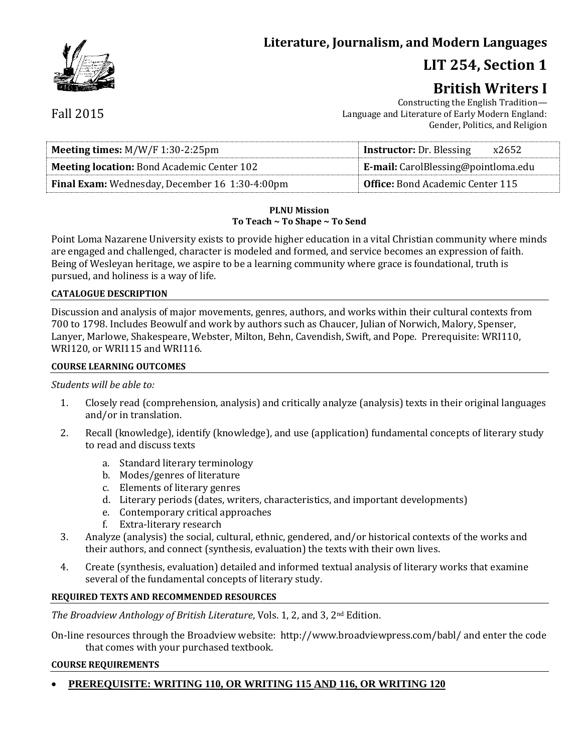## **Literature, Journalism, and Modern Languages**

# **LIT 254, Section 1**

# **British Writers I**

Constructing the English Tradition— Language and Literature of Early Modern England: Gender, Politics, and Religion

| <b>Meeting times:</b> $M/W/F$ 1:30-2:25pm             | <b>Instructor:</b> Dr. Blessing<br>x2652   |  |
|-------------------------------------------------------|--------------------------------------------|--|
| <b>Meeting location:</b> Bond Academic Center 102     | <b>E-mail:</b> CarolBlessing@pointloma.edu |  |
| <b>Final Exam:</b> Wednesday, December 16 1:30-4:00pm | <b>Office:</b> Bond Academic Center 115    |  |

#### **PLNU Mission To Teach ~ To Shape ~ To Send**

Point Loma Nazarene University exists to provide higher education in a vital Christian community where minds are engaged and challenged, character is modeled and formed, and service becomes an expression of faith. Being of Wesleyan heritage, we aspire to be a learning community where grace is foundational, truth is pursued, and holiness is a way of life.

#### **CATALOGUE DESCRIPTION**

Discussion and analysis of major movements, genres, authors, and works within their cultural contexts from 700 to 1798. Includes Beowulf and work by authors such as Chaucer, Julian of Norwich, Malory, Spenser, Lanyer, Marlowe, Shakespeare, Webster, Milton, Behn, Cavendish, Swift, and Pope. Prerequisite: WRI110, WRI120, or WRI115 and WRI116.

#### **COURSE LEARNING OUTCOMES**

#### *Students will be able to:*

- 1. Closely read (comprehension, analysis) and critically analyze (analysis) texts in their original languages and/or in translation.
- 2. Recall (knowledge), identify (knowledge), and use (application) fundamental concepts of literary study to read and discuss texts
	- a. Standard literary terminology
	- b. Modes/genres of literature
	- c. Elements of literary genres
	- d. Literary periods (dates, writers, characteristics, and important developments)
	- e. Contemporary critical approaches
	- f. Extra-literary research
- 3. Analyze (analysis) the social, cultural, ethnic, gendered, and/or historical contexts of the works and their authors, and connect (synthesis, evaluation) the texts with their own lives.
- 4. Create (synthesis, evaluation) detailed and informed textual analysis of literary works that examine several of the fundamental concepts of literary study.

#### **REQUIRED TEXTS AND RECOMMENDED RESOURCES**

*The Broadview Anthology of British Literature*, Vols. 1, 2, and 3, 2nd Edition.

On-line resources through the Broadview website: http://www.broadviewpress.com/babl/ and enter the code that comes with your purchased textbook.

#### **COURSE REQUIREMENTS**

**PREREQUISITE: WRITING 110, OR WRITING 115 AND 116, OR WRITING 120**

Fall 2015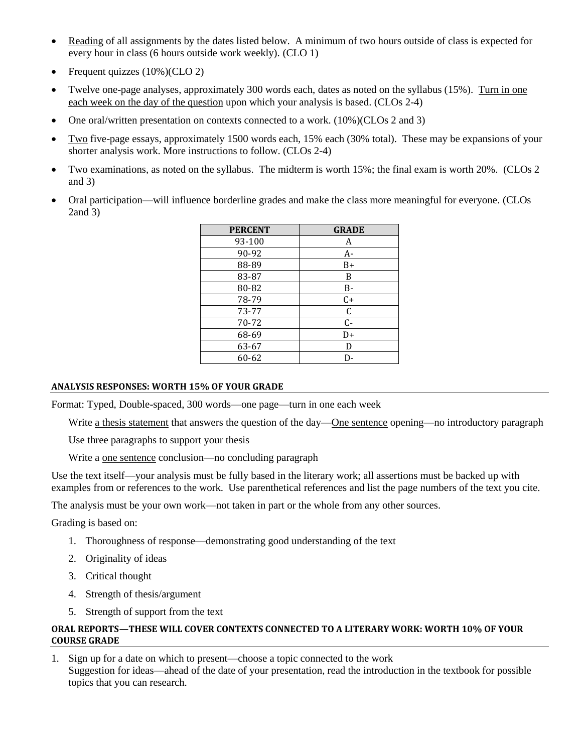- Reading of all assignments by the dates listed below. A minimum of two hours outside of class is expected for every hour in class (6 hours outside work weekly). (CLO 1)
- Frequent quizzes (10%)(CLO 2)
- Twelve one-page analyses, approximately 300 words each, dates as noted on the syllabus (15%). Turn in one each week on the day of the question upon which your analysis is based. (CLOs 2-4)
- One oral/written presentation on contexts connected to a work. (10%)(CLOs 2 and 3)
- Two five-page essays, approximately 1500 words each, 15% each (30% total). These may be expansions of your shorter analysis work. More instructions to follow. (CLOs 2-4)
- Two examinations, as noted on the syllabus. The midterm is worth 15%; the final exam is worth 20%. (CLOs 2 and 3)
- Oral participation—will influence borderline grades and make the class more meaningful for everyone. (CLOs 2and 3)

| <b>PERCENT</b> | <b>GRADE</b> |
|----------------|--------------|
| 93-100         | A            |
| 90-92          | $A-$         |
| 88-89          | $B+$         |
| 83-87          | B            |
| 80-82          | B-           |
| 78-79          | $C+$         |
| 73-77          | C            |
| 70-72          | $C -$        |
| 68-69          | D+           |
| 63-67          | D            |
| 60-62          | D-           |

#### **ANALYSIS RESPONSES: WORTH 15% OF YOUR GRADE**

Format: Typed, Double-spaced, 300 words—one page—turn in one each week

Write <u>a thesis statement</u> that answers the question of the day—One sentence opening—no introductory paragraph

Use three paragraphs to support your thesis

Write a one sentence conclusion—no concluding paragraph

Use the text itself—your analysis must be fully based in the literary work; all assertions must be backed up with examples from or references to the work. Use parenthetical references and list the page numbers of the text you cite.

The analysis must be your own work—not taken in part or the whole from any other sources.

Grading is based on:

- 1. Thoroughness of response—demonstrating good understanding of the text
- 2. Originality of ideas
- 3. Critical thought
- 4. Strength of thesis/argument
- 5. Strength of support from the text

#### **ORAL REPORTS—THESE WILL COVER CONTEXTS CONNECTED TO A LITERARY WORK: WORTH 10% OF YOUR COURSE GRADE**

1. Sign up for a date on which to present—choose a topic connected to the work Suggestion for ideas—ahead of the date of your presentation, read the introduction in the textbook for possible topics that you can research.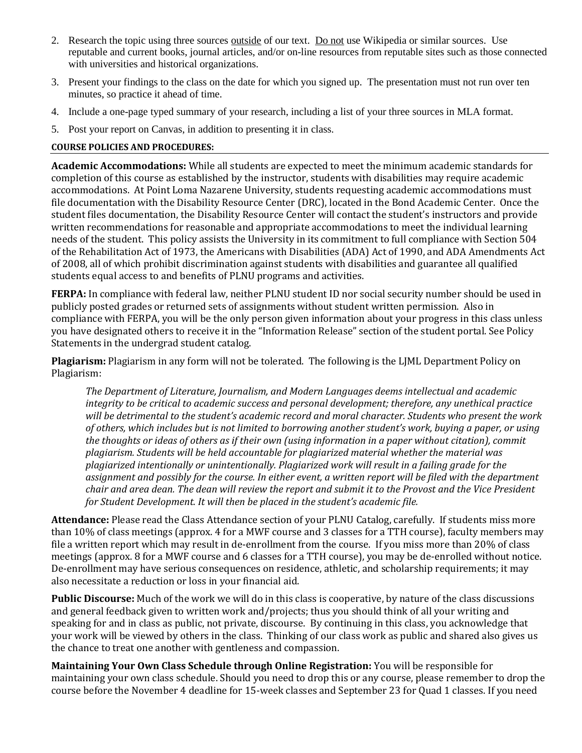- 2. Research the topic using three sources outside of our text. Do not use Wikipedia or similar sources. Use reputable and current books, journal articles, and/or on-line resources from reputable sites such as those connected with universities and historical organizations.
- 3. Present your findings to the class on the date for which you signed up. The presentation must not run over ten minutes, so practice it ahead of time.
- 4. Include a one-page typed summary of your research, including a list of your three sources in MLA format.
- 5. Post your report on Canvas, in addition to presenting it in class.

### **COURSE POLICIES AND PROCEDURES:**

**Academic Accommodations:** While all students are expected to meet the minimum academic standards for completion of this course as established by the instructor, students with disabilities may require academic accommodations. At Point Loma Nazarene University, students requesting academic accommodations must file documentation with the Disability Resource Center (DRC), located in the Bond Academic Center. Once the student files documentation, the Disability Resource Center will contact the student's instructors and provide written recommendations for reasonable and appropriate accommodations to meet the individual learning needs of the student. This policy assists the University in its commitment to full compliance with Section 504 of the Rehabilitation Act of 1973, the Americans with Disabilities (ADA) Act of 1990, and ADA Amendments Act of 2008, all of which prohibit discrimination against students with disabilities and guarantee all qualified students equal access to and benefits of PLNU programs and activities.

**FERPA:** In compliance with federal law, neither PLNU student ID nor social security number should be used in publicly posted grades or returned sets of assignments without student written permission. Also in compliance with FERPA, you will be the only person given information about your progress in this class unless you have designated others to receive it in the "Information Release" section of the student portal. See Policy Statements in the undergrad student catalog.

**Plagiarism:** Plagiarism in any form will not be tolerated. The following is the LJML Department Policy on Plagiarism:

*The Department of Literature, Journalism, and Modern Languages deems intellectual and academic integrity to be critical to academic success and personal development; therefore, any unethical practice will be detrimental to the student's academic record and moral character. Students who present the work of others, which includes but is not limited to borrowing another student's work, buying a paper, or using the thoughts or ideas of others as if their own (using information in a paper without citation), commit plagiarism. Students will be held accountable for plagiarized material whether the material was plagiarized intentionally or unintentionally. Plagiarized work will result in a failing grade for the assignment and possibly for the course. In either event, a written report will be filed with the department chair and area dean. The dean will review the report and submit it to the Provost and the Vice President for Student Development. It will then be placed in the student's academic file.*

**Attendance:** Please read the Class Attendance section of your PLNU Catalog, carefully. If students miss more than 10% of class meetings (approx. 4 for a MWF course and 3 classes for a TTH course), faculty members may file a written report which may result in de-enrollment from the course. If you miss more than 20% of class meetings (approx. 8 for a MWF course and 6 classes for a TTH course), you may be de-enrolled without notice. De-enrollment may have serious consequences on residence, athletic, and scholarship requirements; it may also necessitate a reduction or loss in your financial aid.

**Public Discourse:** Much of the work we will do in this class is cooperative, by nature of the class discussions and general feedback given to written work and/projects; thus you should think of all your writing and speaking for and in class as public, not private, discourse. By continuing in this class, you acknowledge that your work will be viewed by others in the class. Thinking of our class work as public and shared also gives us the chance to treat one another with gentleness and compassion.

**Maintaining Your Own Class Schedule through Online Registration:** You will be responsible for maintaining your own class schedule. Should you need to drop this or any course, please remember to drop the course before the November 4 deadline for 15-week classes and September 23 for Quad 1 classes. If you need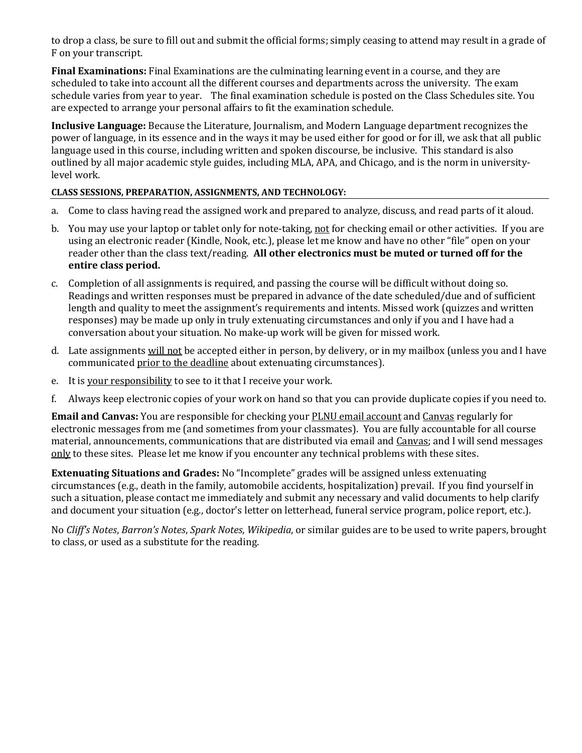to drop a class, be sure to fill out and submit the official forms; simply ceasing to attend may result in a grade of F on your transcript.

**Final Examinations:** Final Examinations are the culminating learning event in a course, and they are scheduled to take into account all the different courses and departments across the university. The exam schedule varies from year to year. The final examination schedule is posted on the Class Schedules site. You are expected to arrange your personal affairs to fit the examination schedule.

**Inclusive Language:** Because the Literature, Journalism, and Modern Language department recognizes the power of language, in its essence and in the ways it may be used either for good or for ill, we ask that all public language used in this course, including written and spoken discourse, be inclusive. This standard is also outlined by all major academic style guides, including MLA, APA, and Chicago, and is the norm in universitylevel work.

### **CLASS SESSIONS, PREPARATION, ASSIGNMENTS, AND TECHNOLOGY:**

- a. Come to class having read the assigned work and prepared to analyze, discuss, and read parts of it aloud.
- b. You may use your laptop or tablet only for note-taking, not for checking email or other activities. If you are using an electronic reader (Kindle, Nook, etc.), please let me know and have no other "file" open on your reader other than the class text/reading. **All other electronics must be muted or turned off for the entire class period.**
- c. Completion of all assignments is required, and passing the course will be difficult without doing so. Readings and written responses must be prepared in advance of the date scheduled/due and of sufficient length and quality to meet the assignment's requirements and intents. Missed work (quizzes and written responses) may be made up only in truly extenuating circumstances and only if you and I have had a conversation about your situation. No make-up work will be given for missed work.
- d. Late assignments will not be accepted either in person, by delivery, or in my mailbox (unless you and I have communicated prior to the deadline about extenuating circumstances).
- e. It is your responsibility to see to it that I receive your work.
- f. Always keep electronic copies of your work on hand so that you can provide duplicate copies if you need to.

**Email and Canvas:** You are responsible for checking your PLNU email account and Canvas regularly for electronic messages from me (and sometimes from your classmates). You are fully accountable for all course material, announcements, communications that are distributed via email and Canvas; and I will send messages only to these sites. Please let me know if you encounter any technical problems with these sites.

**Extenuating Situations and Grades:** No "Incomplete" grades will be assigned unless extenuating circumstances (e.g., death in the family, automobile accidents, hospitalization) prevail. If you find yourself in such a situation, please contact me immediately and submit any necessary and valid documents to help clarify and document your situation (e.g., doctor's letter on letterhead, funeral service program, police report, etc.).

No *Cliff's Notes*, *Barron's Notes*, *Spark Notes*, *Wikipedia*, or similar guides are to be used to write papers, brought to class, or used as a substitute for the reading.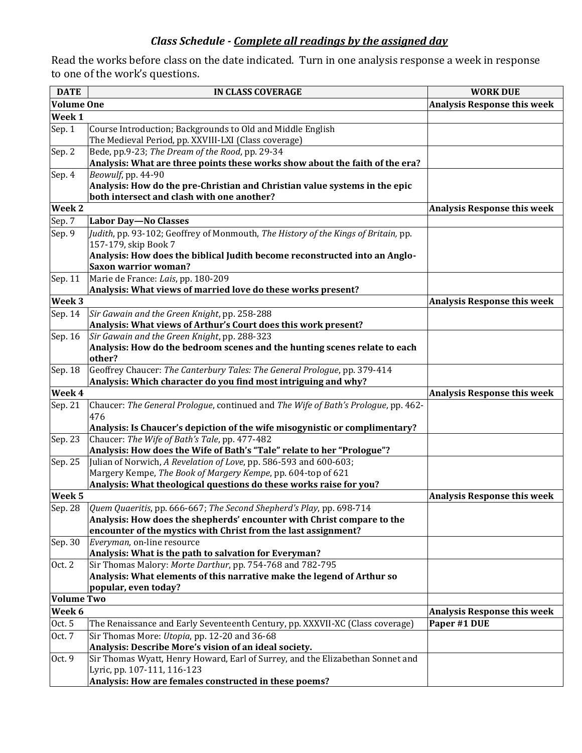## *Class Schedule - Complete all readings by the assigned day*

Read the works before class on the date indicated. Turn in one analysis response a week in response to one of the work's questions.

| <b>DATE</b>       | <b>IN CLASS COVERAGE</b>                                                                                                     | <b>WORK DUE</b>                    |
|-------------------|------------------------------------------------------------------------------------------------------------------------------|------------------------------------|
| <b>Volume One</b> |                                                                                                                              | <b>Analysis Response this week</b> |
| Week 1            |                                                                                                                              |                                    |
| Sep. 1            | Course Introduction; Backgrounds to Old and Middle English                                                                   |                                    |
|                   | The Medieval Period, pp. XXVIII-LXI (Class coverage)                                                                         |                                    |
| Sep. 2            | Bede, pp.9-23; The Dream of the Rood, pp. 29-34                                                                              |                                    |
|                   | Analysis: What are three points these works show about the faith of the era?                                                 |                                    |
| Sep. 4            | Beowulf, pp. 44-90                                                                                                           |                                    |
|                   | Analysis: How do the pre-Christian and Christian value systems in the epic                                                   |                                    |
|                   | both intersect and clash with one another?                                                                                   |                                    |
| Week <sub>2</sub> |                                                                                                                              | <b>Analysis Response this week</b> |
| Sep. 7            | <b>Labor Day-No Classes</b>                                                                                                  |                                    |
| Sep. 9            | Judith, pp. 93-102; Geoffrey of Monmouth, The History of the Kings of Britain, pp.                                           |                                    |
|                   | 157-179, skip Book 7                                                                                                         |                                    |
|                   | Analysis: How does the biblical Judith become reconstructed into an Anglo-                                                   |                                    |
|                   | <b>Saxon warrior woman?</b>                                                                                                  |                                    |
| Sep. 11           | Marie de France: Lais, pp. 180-209                                                                                           |                                    |
|                   | Analysis: What views of married love do these works present?                                                                 |                                    |
| Week 3            |                                                                                                                              | <b>Analysis Response this week</b> |
| Sep. 14           | Sir Gawain and the Green Knight, pp. 258-288                                                                                 |                                    |
|                   | Analysis: What views of Arthur's Court does this work present?                                                               |                                    |
| Sep. 16           | Sir Gawain and the Green Knight, pp. 288-323                                                                                 |                                    |
|                   | Analysis: How do the bedroom scenes and the hunting scenes relate to each                                                    |                                    |
|                   | other?                                                                                                                       |                                    |
| Sep. 18           | Geoffrey Chaucer: The Canterbury Tales: The General Prologue, pp. 379-414                                                    |                                    |
|                   | Analysis: Which character do you find most intriguing and why?                                                               |                                    |
| Week 4            |                                                                                                                              | <b>Analysis Response this week</b> |
| Sep. 21           | Chaucer: The General Prologue, continued and The Wife of Bath's Prologue, pp. 462-                                           |                                    |
|                   | 476                                                                                                                          |                                    |
|                   | Analysis: Is Chaucer's depiction of the wife misogynistic or complimentary?<br>Chaucer: The Wife of Bath's Tale, pp. 477-482 |                                    |
| Sep. 23           | Analysis: How does the Wife of Bath's "Tale" relate to her "Prologue"?                                                       |                                    |
| Sep. 25           | Julian of Norwich, A Revelation of Love, pp. 586-593 and 600-603;                                                            |                                    |
|                   | Margery Kempe, The Book of Margery Kempe, pp. 604-top of 621                                                                 |                                    |
|                   | Analysis: What theological questions do these works raise for you?                                                           |                                    |
| Week <sub>5</sub> |                                                                                                                              | <b>Analysis Response this week</b> |
|                   | Sep. 28 $\left[$ Quem Quaeritis, pp. 666-667; The Second Shepherd's Play, pp. 698-714                                        |                                    |
|                   | Analysis: How does the shepherds' encounter with Christ compare to the                                                       |                                    |
|                   | encounter of the mystics with Christ from the last assignment?                                                               |                                    |
| Sep. 30           | Everyman, on-line resource                                                                                                   |                                    |
|                   | Analysis: What is the path to salvation for Everyman?                                                                        |                                    |
| Oct. 2            | Sir Thomas Malory: Morte Darthur, pp. 754-768 and 782-795                                                                    |                                    |
|                   | Analysis: What elements of this narrative make the legend of Arthur so                                                       |                                    |
|                   | popular, even today?                                                                                                         |                                    |
| <b>Volume Two</b> |                                                                                                                              |                                    |
| Week 6            |                                                                                                                              | <b>Analysis Response this week</b> |
| Oct. 5            | The Renaissance and Early Seventeenth Century, pp. XXXVII-XC (Class coverage)                                                | Paper #1 DUE                       |
| Oct. 7            | Sir Thomas More: <i>Utopia</i> , pp. 12-20 and 36-68                                                                         |                                    |
|                   | Analysis: Describe More's vision of an ideal society.                                                                        |                                    |
| Oct. 9            | Sir Thomas Wyatt, Henry Howard, Earl of Surrey, and the Elizabethan Sonnet and                                               |                                    |
|                   | Lyric, pp. 107-111, 116-123                                                                                                  |                                    |
|                   | Analysis: How are females constructed in these poems?                                                                        |                                    |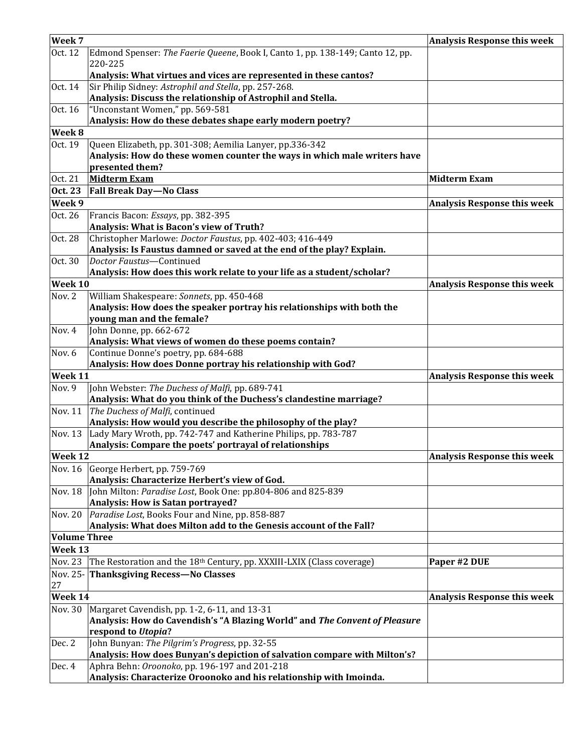| Week 7              |                                                                                               | <b>Analysis Response this week</b> |
|---------------------|-----------------------------------------------------------------------------------------------|------------------------------------|
| Oct. 12             | Edmond Spenser: The Faerie Queene, Book I, Canto 1, pp. 138-149; Canto 12, pp.                |                                    |
|                     | 220-225                                                                                       |                                    |
|                     | Analysis: What virtues and vices are represented in these cantos?                             |                                    |
| Oct. 14             | Sir Philip Sidney: Astrophil and Stella, pp. 257-268.                                         |                                    |
|                     | Analysis: Discuss the relationship of Astrophil and Stella.                                   |                                    |
| Oct. 16             | "Unconstant Women," pp. 569-581                                                               |                                    |
|                     | Analysis: How do these debates shape early modern poetry?                                     |                                    |
| Week 8              |                                                                                               |                                    |
| Oct. 19             | Queen Elizabeth, pp. 301-308; Aemilia Lanyer, pp.336-342                                      |                                    |
|                     | Analysis: How do these women counter the ways in which male writers have                      |                                    |
|                     | presented them?                                                                               |                                    |
| Oct. 21             | <b>Midterm Exam</b>                                                                           | <b>Midterm Exam</b>                |
| Oct. 23             | <b>Fall Break Day-No Class</b>                                                                |                                    |
| Week 9              |                                                                                               | <b>Analysis Response this week</b> |
| Oct. 26             | Francis Bacon: Essays, pp. 382-395                                                            |                                    |
|                     | Analysis: What is Bacon's view of Truth?                                                      |                                    |
| Oct. 28             | Christopher Marlowe: Doctor Faustus, pp. 402-403; 416-449                                     |                                    |
|                     | Analysis: Is Faustus damned or saved at the end of the play? Explain.                         |                                    |
| Oct. 30             | Doctor Faustus-Continued                                                                      |                                    |
|                     | Analysis: How does this work relate to your life as a student/scholar?                        |                                    |
| Week 10             |                                                                                               | <b>Analysis Response this week</b> |
| Nov. 2              | William Shakespeare: Sonnets, pp. 450-468                                                     |                                    |
|                     | Analysis: How does the speaker portray his relationships with both the                        |                                    |
|                     | young man and the female?                                                                     |                                    |
| Nov. 4              | John Donne, pp. 662-672                                                                       |                                    |
| Nov. 6              | Analysis: What views of women do these poems contain?<br>Continue Donne's poetry, pp. 684-688 |                                    |
|                     | Analysis: How does Donne portray his relationship with God?                                   |                                    |
| Week 11             |                                                                                               | <b>Analysis Response this week</b> |
| Nov. 9              | John Webster: The Duchess of Malfi, pp. 689-741                                               |                                    |
|                     | Analysis: What do you think of the Duchess's clandestine marriage?                            |                                    |
| Nov. 11             | The Duchess of Malfi, continued                                                               |                                    |
|                     | Analysis: How would you describe the philosophy of the play?                                  |                                    |
| Nov. 13             | Lady Mary Wroth, pp. 742-747 and Katherine Philips, pp. 783-787                               |                                    |
|                     | Analysis: Compare the poets' portrayal of relationships                                       |                                    |
| Week <sub>12</sub>  |                                                                                               | <b>Analysis Response this week</b> |
| Nov. 16             | George Herbert, pp. 759-769                                                                   |                                    |
|                     | Analysis: Characterize Herbert's view of God.                                                 |                                    |
| Nov. 18             | John Milton: Paradise Lost, Book One: pp.804-806 and 825-839                                  |                                    |
|                     | Analysis: How is Satan portrayed?                                                             |                                    |
| <b>Nov. 20</b>      | Paradise Lost, Books Four and Nine, pp. 858-887                                               |                                    |
|                     | Analysis: What does Milton add to the Genesis account of the Fall?                            |                                    |
| <b>Volume Three</b> |                                                                                               |                                    |
| Week 13             |                                                                                               |                                    |
| <b>Nov. 23</b>      | The Restoration and the 18 <sup>th</sup> Century, pp. XXXIII-LXIX (Class coverage)            | Paper #2 DUE                       |
| Nov. 25-            | <b>Thanksgiving Recess-No Classes</b>                                                         |                                    |
| 27                  |                                                                                               |                                    |
| Week 14             |                                                                                               | <b>Analysis Response this week</b> |
| Nov. 30             | Margaret Cavendish, pp. 1-2, 6-11, and 13-31                                                  |                                    |
|                     | Analysis: How do Cavendish's "A Blazing World" and The Convent of Pleasure                    |                                    |
|                     | respond to Utopia?                                                                            |                                    |
| Dec. 2              | John Bunyan: The Pilgrim's Progress, pp. 32-55                                                |                                    |
|                     | Analysis: How does Bunyan's depiction of salvation compare with Milton's?                     |                                    |
| Dec. 4              | Aphra Behn: Oroonoko, pp. 196-197 and 201-218                                                 |                                    |
|                     | Analysis: Characterize Oroonoko and his relationship with Imoinda.                            |                                    |